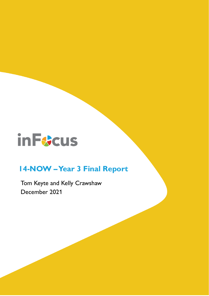# **in Funcus**

# **14-NOW –Year 3 Final Report**

Tom Keyte and Kelly Crawshaw December 2021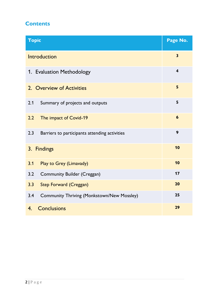# **Contents**

| <b>Topic</b>                                             | Page No.                |  |  |  |  |  |  |  |  |  |
|----------------------------------------------------------|-------------------------|--|--|--|--|--|--|--|--|--|
| Introduction                                             | $\overline{\mathbf{3}}$ |  |  |  |  |  |  |  |  |  |
| $\overline{\mathbf{4}}$<br>1. Evaluation Methodology     |                         |  |  |  |  |  |  |  |  |  |
| 2. Overview of Activities                                | 5                       |  |  |  |  |  |  |  |  |  |
| 2.1<br>Summary of projects and outputs                   | 5                       |  |  |  |  |  |  |  |  |  |
| 2.2<br>The impact of Covid-19                            | 6                       |  |  |  |  |  |  |  |  |  |
| 2.3<br>Barriers to participants attending activities     | 9                       |  |  |  |  |  |  |  |  |  |
| 3. Findings                                              | 10                      |  |  |  |  |  |  |  |  |  |
| 3.1<br>Play to Grey (Limavady)                           | 10                      |  |  |  |  |  |  |  |  |  |
| 3.2<br><b>Community Builder (Creggan)</b>                | 17                      |  |  |  |  |  |  |  |  |  |
| 3.3<br><b>Step Forward (Creggan)</b>                     | 20                      |  |  |  |  |  |  |  |  |  |
| 3.4<br><b>Community Thriving (Monkstown/New Mossley)</b> | 25                      |  |  |  |  |  |  |  |  |  |
| <b>Conclusions</b><br>4.                                 | 29                      |  |  |  |  |  |  |  |  |  |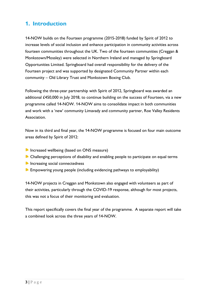# **1. Introduction**

14-NOW builds on the Fourteen programme (2015-2018) funded by Spirit of 2012 to increase levels of social inclusion and enhance participation in community activities across fourteen communities throughout the UK. Two of the fourteen communities (Creggan & Monkstown/Mossley) were selected in Northern Ireland and managed by Springboard Opportunities Limited. Springboard had overall responsibility for the delivery of the Fourteen project and was supported by designated Community Partner within each community – Old Library Trust and Monkstown Boxing Club.

Following the three-year partnership with Spirit of 2012, Springboard was awarded an additional £450,000 in July 2018, to continue building on the success of Fourteen, via a new programme called 14-NOW. 14-NOW aims to consolidate impact in both communities and work with a 'new' community Limavady and community partner, Roe Valley Residents Association.

Now in its third and final year, the 14-NOW programme is focused on four main outcome areas defined by Spirit of 2012:

- **Increased wellbeing (based on ONS measure)**
- Challenging perceptions of disability and enabling people to participate on equal terms
- **Increasing social connectedness**
- **Empowering young people (including evidencing pathways to employability)**

14-NOW projects in Creggan and Monkstown also engaged with volunteers as part of their activities, particularly through the COVID-19 response, although for most projects, this was not a focus of their monitoring and evaluation.

This report specifically covers the final year of the programme. A separate report will take a combined look across the three years of 14-NOW.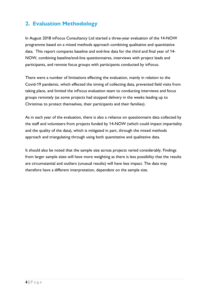# **2. Evaluation Methodology**

In August 2018 inFocus Consultancy Ltd started a three-year evaluation of the 14-NOW programme based on a mixed methods approach combining qualitative and quantitative data. This report compares baseline and end-line data for the third and final year of 14- NOW, combining baseline/end-line questionnaires, interviews with project leads and participants, and remote focus groups with participants conducted by inFocus.

There were a number of limitations effecting the evaluation, mainly in relation to the Covid-19 pandemic, which effected the timing of collecting data, prevented field visits from taking place, and limited the inFocus evaluation team to conducting interviews and focus groups remotely (as some projects had stopped delivery in the weeks leading up to Christmas to protect themselves, their participants and their families).

As in each year of the evaluation, there is also a reliance on questionnaire data collected by the staff and volunteers from projects funded by 14-NOW (which could impact impartiality and the quality of the data), which is mitigated in part, through the mixed methods approach and triangulating through using both quantitative and qualitative data.

It should also be noted that the sample size across projects varied considerably. Findings from larger sample sizes will have more weighting as there is less possibility that the results are circumstantial and outliers (unusual results) will have less impact. The data may therefore have a different interpretation, dependant on the sample size.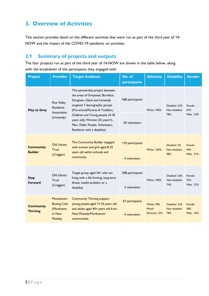# **3. Overview of Activities**

This section provides detail on the different activities that were run as part of the third year of 14- NOW and the impact of the COVID-19 pandemic on activities.

# **3.1 Summary of projects and outputs**

The four projects run as part of the third year of 14-NOW are shown in the table below, along with the breakdown of the participants they engaged with.

| <b>Project</b>                      | <b>Provider</b>                                      | <b>Target Audience</b>                                                                                                                                                    | No. of<br>participants | <b>Ethnicity</b>        | <b>Disability</b>              | <b>Gender</b>    |  |
|-------------------------------------|------------------------------------------------------|---------------------------------------------------------------------------------------------------------------------------------------------------------------------------|------------------------|-------------------------|--------------------------------|------------------|--|
| <b>Play to Grey</b>                 | <b>Roe Valley</b><br><b>Residents</b><br>Association | This partnership project between<br>the areas of Greysteel, Burnfoot,<br>Dungiven, Glack and Limavady<br>targeted 7 demographic groups<br>(Pre-school/Parents & Toddlers, | 568 participants       | <b>White: 100%</b>      | Disabled: 22%<br>Non-disabled: | Female:<br>67%   |  |
|                                     | (Limavady)                                           | Children and Young people (4-18<br>years old), Women (25 years+),<br>Men, Older People, Volunteers,<br>Residents with a disability)                                       | 30 volunteers          |                         | 78%                            | Male: 33%        |  |
| <b>Community</b>                    | Old Library<br><b>Trust</b>                          | The Community Builder engaged<br>with women and girls aged 8-25<br>years old within schools and                                                                           | 110 participants       | <b>White: 100%</b>      | Disabled: 2%<br>Non-disabled:  | Female:<br>49%   |  |
| <b>Builder</b>                      | (Creggan)                                            | community                                                                                                                                                                 | 4 volunteers           |                         | 98%                            | Male: 51%        |  |
| <b>Step</b>                         | Old Library<br>Trust                                 | Target group aged 26+ who are<br>living with a life limiting, long term                                                                                                   | 208 participants       | <b>White: 100%</b>      | Disabled: 26%<br>Non-disabled: | Female:          |  |
| <b>Forward</b>                      | (Creggan)                                            | illness, health problem or a<br>disability.                                                                                                                               | 2 volunteers           |                         | 74%                            | 75%<br>Male: 25% |  |
| <b>Community</b><br><b>Thriving</b> | Monkstown<br><b>Boxing Club</b>                      | <b>Community Thriving support</b><br>young people aged 11-16 years old                                                                                                    | 67 participants        | <b>White: 78%</b>       | Disabled: 22%                  | Female:          |  |
|                                     | (Monkstow<br>n/ New<br>Mosley)                       | and adults aged 40+ years old from<br><b>New Mossley/Monkstown</b><br>communities.                                                                                        | 4 volunteers           | Mixed<br>Ethnicity: 22% | Non-disabled:<br>78%           | 58%<br>Male: 42% |  |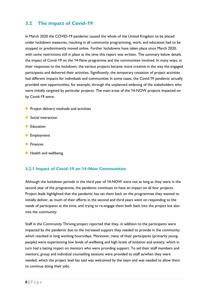# **3.2 The impact of Covid-19**

In March 2020 the COVID-19 pandemic caused the whole of the United Kingdom to be placed under lockdown measures, resulting in all community programming, work, and education had to be stopped or predominantly moved online. Further lockdowns have taken place since March 2020, with some restrictions still in place at the time this report was written. The summary below details the impact of Covid-19 on the 14-Now programme and the communities involved. In many ways, in their responses to the lockdown, the various projects became more creative in the way the engaged participants and delivered their activities. Significantly, the temporary cessation of project activities had different impacts for individuals and communities In some cases, the Covid-19 pandemic actually provided new opportunities, for example, through the unplanned widening of the stakeholders who were initially targeted by particular projects. The main areas of the 14-NOW projects impacted on by Covid-19 were;

- **P** Project delivery methods and activities
- Social interaction
- **Education**
- **Employment**
- $\blacktriangleright$  Finances
- Health and wellbeing.

#### **3.2.1 Impact of Covid-19 on 14-Now Communities**

Although the lockdown periods in the third year of 14-NOW were not as long as they were in the second year of the programme, the pandemic continues to have an impact on all four projects. Project leads highlighted that the pandemic has set them back on the programmes they wanted to initially deliver, as much of their efforts in the second and third years went on responding to the needs of participants at the time, and trying to re-engage them both back into the project but also into the community.

Staff in the Community Thriving project reported that they, in addition to the participants were impacted by the pandemic due to the increased support they needed to provide in the community which resulted in long working hours/days. Moreover, many of their participants (primarily young people) were experiencing low levels of wellbeing and high levels of isolation and anxiety, which in turn had a lasting impact on mentors who were providing support. To aid their staff members and mentors, group and individual counselling sessions were provided to staff as/when they were needed, which the project lead has said was welcomed by the team and was needed to allow them to continue doing their jobs.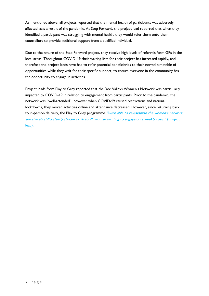As mentioned above, all projects reported that the mental health of participants was adversely affected asas a result of the pandemic. At Step Forward, the project lead reported that when they identified a participant was struggling with mental health, they would refer them onto their counsellors to provide additional support from a qualified individual.

Due to the nature of the Step Forward project, they receive high levels of referrals form GPs in the local areas. Throughout COVID-19 their waiting lists for their project has increased rapidly, and therefore the project leads have had to refer potential beneficiaries to their normal timetable of opportunities while they wait for their specific support, to ensure everyone in the community has the opportunity to engage in activities.

Project leads from Play to Grey reported that the Roe Valleys Women's Network was particularly impacted by COVID-19 in relation to engagement from participants. Prior to the pandemic, the network was "well-attended", however when COVID-19 caused restrictions and national lockdowns, they moved activities online and attendance decreased. However, since returning back to in-person delivery, the Play to Grey programme "were able to re-establish the women's network, and there's still a steady stream of 20 to 25 woman wanting to engage on a weekly basis." (Project lead).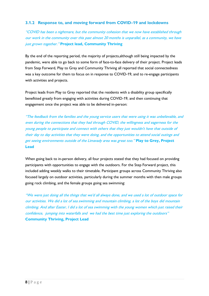#### **3.1.2 Response to, and moving forward from COVID-19 and lockdowns**

"COVID has been a nightmare, but the community cohesion that we now have established through our work in the community over this past almost 20 months is unparallel, as a community, we have just grown together." **Project lead, Community Thriving**

By the end of the reporting period, the majority of projects,although still being impacted by the pandemic, were able to go back to some form of face-to-face delivery of their project. Project leads from Step Forward, Play to Grey and Community Thriving all reported that social connectedness was a key outcome for them to focus on in response to COVID-19, and to re-engage participants with activities and projects.

Project leads from Play to Grey reported that the residents with a disability group specifically benefitted greatly from engaging with activities during COVID-19, and then continuing that engagement once the project was able to be delivered in-person:

"The feedback from the families and the young service users that were using it was unbelievable, and even during the connections that they had through COVID, the willingness and eagerness for the young people to participate and connect with others that they just wouldn't have that outside of their day to day activities that they were doing, and the opportunities to attend social outings and get seeing environments outside of the Limavady area was great too." **Play to Grey, Project Lead**

When going back to in-person delivery, all four projects stated that they had focused on providing participants with opportunities to engage with the outdoors. For the Step Forward project, this included adding weekly walks to their timetable. Participant groups across Community Thriving also focused largely on outdoor activities, particularly during the summer months with then male groups going rock climbing, and the female groups going sea swimming:

"We were just doing all the things that we'd all always done, and we used a lot of outdoor space for our activities. We did a lot of sea swimming and mountain climbing, a lot of the boys did mountain climbing. And after Easter, I did a lot of sea swimming with the young women which just raised their confidence, jumping into waterfalls and we had the best time just exploring the outdoors" **Community Thriving, Project Lead**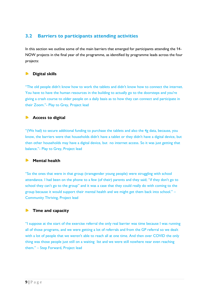# **3.2 Barriers to participants attending activities**

In this section we outline some of the main barriers that emerged for participants attending the 14- NOW projects in the final year of the programme, as identified by programme leads across the four projects:

#### $\blacktriangleright$ **Digital skills**

"The old people didn't know how to work the tablets and didn't know how to connect the internet. You have to have the human resources in the building to actually go to the doorsteps and you're giving a crash course to older people on a daily basis as to how they can connect and participate in their Zoom."- Play to Grey, Project lead

#### **Access to digital**

"(We had) to secure additional funding to purchase the tablets and also the 4g data, because, you know, the barriers were that households didn't have a tablet or they didn't have a digital device, but then other households may have a digital device, but no internet access. So it was just getting that balance."- Play to Grey, Project lead

#### $\blacksquare$ **Mental health**

"So the ones that were in that group (transgender young people) were struggling with school attendance. I had been on the phone to a few (of their) parents and they said; "if they don't go to school they can't go to the group" and it was a case that they could really do with coming to the group because it would support their mental health and we might get them back into school." – Community Thriving, Project lead

#### **Time and capacity**

"I suppose at the start of the exercise referral the only real barrier was time because I was running all of those programs, and we were getting a lot of referrals and from the GP referral so we dealt with a lot of people that we weren't able to reach all at one time. And then over COVID the only thing was those people just still on a waiting list and we were still nowhere near even reaching them." – Step Forward, Project lead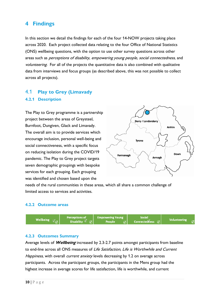# **4 Findings**

In this section we detail the findings for each of the four 14-NOW projects taking place across 2020. Each project collected data relating to the four Office of National Statistics (ONS) wellbeing questions, with the option to use other survey questions across other areas such as *perceptions of disability, empowering young people, social connectedness*, and volunteering. For all of the projects the quantitative data is also combined with qualitative data from interviews and focus groups (as described above, this was not possible to collect across all projects).

# 4.1 **Play to Grey (Limavady 4.2.1 Description**

The Play to Grey programme is a partnership project between the areas of Greysteel, Burnfoot, Dungiven, Glack and Limavady. The overall aim is to provide services which encourage inclusion, personal well-being and social connectiveness, with a specific focus on reducing isolation during the COVID/19 pandemic. The Play to Grey project targets seven demographic groupings with bespoke services for each grouping. Each grouping was identified and chosen based upon the



needs of the rural communities in these areas, which all share a common challenge of limited access to services and activities.

#### **4.2.2 Outcome areas**



#### **4.2.3 Outcomes Summary**

Average levels of **Wellbeing** increased by 2.3-2.7 points amongst participants from baseline to end-line across all ONS measures of Life Satisfaction, Life is Worthwhile and Current Happiness, with overall current anxiety levels decreasing by 1.2 on average across participants. Across the participant groups, the participants in the Mens group had the highest increase in average scores for life satisfaction, life is worthwhile, and current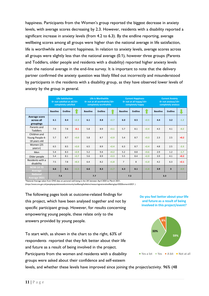happiness. Participants from the Women's group reported the biggest decrease in anxiety levels, with average scores decreasing by 2.3. However, residents with a disability reported a significant increase in anxiety levels (from 4.2 to 6.3). By the endline reporting, average wellbeing scores among all groups were higher than the national average in life satisfaction, life is worthwhile and current happiness. In relation to anxiety levels, average scores across all groups were slightly less than the national average (0.1), however three groups (Parents and Toddlers, older people and residents with a disability) reported higher anxiety levels than the national average in the end-line survey. It is important to note that the delivery partner confirmed the anxiety question was likely filled out incorrectly and misunderstood by participants in the residents with a disability group, as they have observed lower levels of anxiety by the group in general.

|                                                 | <b>Life Satisfaction</b><br>0= not satisfied at all/10=<br>completely satisfied |                |        | Life is Worthwhile<br>0= not at all worthwhile/10=<br>completely worthwhile |                |        |                 | <b>Current Happiness</b><br>$0 = not$ at all happy/10=<br>completely happy |        | <b>Current Anxiety</b><br>$0 = not$ anxious/10=<br>completely anxious |                         |        |
|-------------------------------------------------|---------------------------------------------------------------------------------|----------------|--------|-----------------------------------------------------------------------------|----------------|--------|-----------------|----------------------------------------------------------------------------|--------|-----------------------------------------------------------------------|-------------------------|--------|
|                                                 | <b>Baseline</b>                                                                 | <b>Endline</b> |        | <b>Baseline</b>                                                             | <b>Endline</b> |        | <b>Baseline</b> | <b>Endline</b>                                                             |        | <b>Baseline</b>                                                       | <b>Endline</b>          |        |
| Average score<br>across all<br>groupings        | 6.1                                                                             | 8.4            | $+2.3$ | 6.1                                                                         | 8.8            | $+2.7$ | 6.0             | 8.5                                                                        | $+2.5$ | 4.4                                                                   | 3.2                     | $-1.2$ |
| Parents and<br><b>Toddlers</b>                  | 7.9                                                                             | 7.8            | $-0.1$ | 5.8                                                                         | 8.9            | $+3.1$ | 5.7             | 8.1                                                                        | $+2.4$ | 4.3                                                                   | 4.1                     | $-0.2$ |
| Children and<br>Young People 4-<br>18 years old | 5.7                                                                             | 8.7            | $+3.0$ | 5.8                                                                         | 8.7            | $+2.9$ | 5.4             | 8.7                                                                        | $+3.3$ | 2.3                                                                   | 2.5                     | $+0.2$ |
| Women (25<br>years+)                            | 6.5                                                                             | 8.5            | $+2.0$ | 6.5                                                                         | 8.9            | $+2.4$ | 6.3             | 8.7                                                                        | $+2.4$ | 4.8                                                                   | 2.5                     | $-2.3$ |
| Men                                             | 5.4                                                                             | 8.3            | $+2.9$ | 5.2                                                                         | 9.4            | $+4.2$ | 5.2             | 8.8                                                                        | $+3.6$ | 2.9                                                                   | 1.2                     | $-1.7$ |
| Older people                                    | 5.4                                                                             | 8.1            | $+2.7$ | 5.6                                                                         | 8.9            | $+3.3$ | 5.5             | 8.4                                                                        | $+2.9$ | 3.9                                                                   | 4.1                     | $+0.2$ |
| Residents with a<br>disability                  | 7.5                                                                             | 7.8            | $+0.3$ | 6.4                                                                         | 8.2            | $+1.8$ | $\overline{7}$  | 8                                                                          | $+1.0$ | 4.2                                                                   | 6.3                     | $+2.1$ |
| <b>NOW-14 Y3</b><br>Average                     | 6.6                                                                             | 8.1            | $+1.5$ | 6.6                                                                         | 8.3            | $+1.7$ | 6.3             | 8.1                                                                        | $+1.8$ | 3.9                                                                   | $\overline{\mathbf{3}}$ | $-0.9$ |
| <b>National</b><br>Average 2021                 | 7.4                                                                             |                |        | 7.7                                                                         |                |        | 7.3             |                                                                            |        | 3.3                                                                   |                         |        |

\*National Average taken from ONS data on personal well-being in the UK between April 2020 to March 2021,

(https://www.ons.gov.uk/peoplepopulationandcommunity/wellbeing/bulletins/measuringnationalwellbeing/april2020tomarch2021 )

The following pages look at outcome-related findings for this project, which have been analysed together and not by specific participant group. However, for results concerning empowering young people, these relate only to the answers provided by young people.

To start with, as shown in the chart to the right, 63% of respondents reported that they felt better about their life and future as a result of being involved in the project. Participants from the women and residents with a disability

groups were asked about their confidence and self-esteem

**Do you feel better about your life and future as a result of being involved in this project/event?**



levels, and whether these levels have improved since joining the project/activity. 96% (48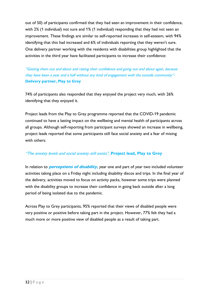out of 50) of participants confirmed that they had seen an improvement in their confidence, with 2% (1 individual) not sure and 1% (1 individual) responding that they had not seen an improvement. These findings are similar to self-reported increases in self-esteem, with 94% identifying that this had increased and 6% of individuals reporting that they weren't sure. One delivery partner working with the residents with disabilities group highlighted that the activities in the third year have facilitated participants to increase their confidence:

"Getting them out and about and raising their confidence and going out and about again, because they have been a year and a half without any kind of engagement with the outside community"- **Delivery partner, Play to Grey**

74% of participants also responded that they enjoyed the project very much, with 26% identifying that they enjoyed it.

Project leads from the Play to Grey programme reported that the COVID-19 pandemic continued to have a lasting impact on the wellbeing and mental health of participants across all groups. Although self-reporting from participant surveys showed an increase in wellbeing, project leads reported that some participants still face social anxiety and a fear of mixing with others:

### "The anxiety levels and social anxiety still exists", **Project lead, Play to Grey**

In relation to **perceptions of disability,** year one and part of year two included volunteer activities taking place on a Friday night including disability discos and trips. In the final year of the delivery, activities moved to focus on activity packs, however some trips were planned with the disability groups to increase their confidence in going back outside after a long period of being isolated due to the pandemic.

Across Play to Grey participants, 95% reported that their views of disabled people were very positive or positive before taking part in the project. However, 77% felt they had a much more or more positive view of disabled people as a result of taking part.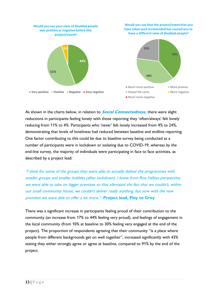

As shown in the charts below, in relation to **Social Connectedness,** there were slight reductions in participants feeling lonely with those reporting they 'often/always' felt lonely reducing from 11% to 4%. Participants who 'never' felt lonely increased from 4% to 24%, demonstrating that levels of loneliness had reduced between baseline and endline reporting. One factor contributing to this could be due to baseline survey being conducted as a number of participants were in lockdown or isolating due to COVID-19, whereas by the end-line survey, the majority of individuals were participating in face to face activities, as described by a project lead:

"I think for some of the groups they were able to actually deliver the programmes with smaller groups and smaller bubbles (after lockdown). I know from Roe Valleys perspective, we were able to take on bigger premises so that alleviated the fact that we couldn't, within our small community house, we couldn't deliver really anything, but now with the new premises we were able to offer a bit more."- **Project lead, Play to Grey**

There was a significant increase in participants feeling proud of their contribution to the community (an increase from 17% to 44% feeling very proud), and feelings of engagement in the local community (from 10% at baseline to 30% feeling very engaged at the end of the project). The proportion of respondents agreeing that their community "is a place where people from different backgrounds get on well together", increased significantly with 43% stating they either strongly agree or agree at baseline, compared to 91% by the end of the project.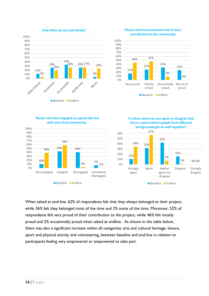

#### **Please rate how proud you feel of your contribution to the community.**



#### **Please rate how engaged you generally feel with your local community.**



**To what extent do you agree or disagree that this is a place where people from different backgrounds get on well together?**



When asked at end-line, 62% of respondents felt that they always belonged at their project, while 36% felt they belonged most of the time and 2% some of the time. Moreover, 52% of respondents felt very proud of their contribution to the project, while 46% felt mostly proud and 2% occasionally proud when asked at endline. As shown in the table below, there was also a significant increase within all categories; arts and cultural heritage, leisure, sport and physical activity and volunteering, between baseline and end-line in relation to participants feeling very empowered or empowered to take part.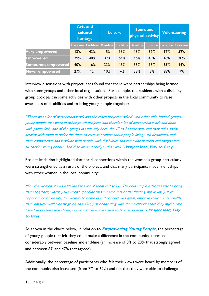|                        | <b>Arts and</b><br>cultural<br>heritage |     |     | <b>Leisure</b>                                                                        | <b>Sport and</b> | physical activity | <b>Volunteering</b> |     |  |
|------------------------|-----------------------------------------|-----|-----|---------------------------------------------------------------------------------------|------------------|-------------------|---------------------|-----|--|
|                        |                                         |     |     | Baseline   End-line   Baseline   End-line   Baseline   End-line   Baseline   End-line |                  |                   |                     |     |  |
| <b>Very empowered</b>  | 13%                                     | 43% | 15% | 33%                                                                                   | 13%              | 32%               | 12%                 | 52% |  |
| <b>Empowered</b>       | 21%                                     | 40% | 32% | 51%                                                                                   | 16%              | 45%               | 16%                 | 28% |  |
| Sometimes empowered    | 40%                                     | 16% | 33% | 13%                                                                                   | 35%              | 16%               | 35%                 | 14% |  |
| <b>Never empowered</b> | 27%                                     | 1%  | 19% | 4%                                                                                    | 38%              | 8%                | 38%                 | 7%  |  |

Interview discussions with project leads found that there were partnerships being formed with some groups and other local organisations. For example, the residents with a disability group took part in some activities with other projects in the local community to raise awareness of disabilities and to bring young people together:

"There was a lot of partnership work and the reach project worked with other able-bodied groups, young people that were in other youth projects, and there's a lot of partnership work and done with particularly one of the groups in Limavady here, the 17 to 24 year olds, and they did a social activity with them in order for them to raise awareness about people living with disabilities, and their competence and working with people with disabilities and removing barriers and things after all, they're young people. And that worked really well as well."- **Project lead, Play to Grey**

Project leads also highlighted that social connections within the women's group particularly were strengthened as a result of the project, and that many participants made friendships with other women in the local community:

**"**For the women, it was a lifeline for a lot of them and still is. They did simple activities just to bring them together, where you weren't spending massive amounts of the funding, but it was just an opportunity for people, for woman to come in and connect was great, improve their mental health, their physical wellbeing by going on walks, just connecting with the neighbours that they might even have lived in the same street, but would never have spoken to one another."- **Project lead, Play to Grey**

As shown in the charts below, in relation to **Empowering Young People**, the percentage of young people that felt they could make a difference in the community increased considerably between baseline and end-line (an increase of 0% to 23% that strongly agreed and between 8% and 47% that agreed).

Additionally, the percentage of participants who felt their views were heard by members of the community also increased (from 7% to 62%) and felt that they were able to challenge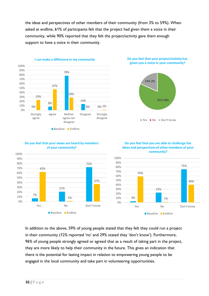the ideas and perspectives of other members of their community (from 3% to 59%). When asked at endline, 61% of participants felt that the project had given them a voice in their community, while 90% reported that they felt the project/activity gave them enough support to have a voice in their community.



**Baseline** Endline





**Do you feel that you are able to challenge the** 

# **of your community?**



# In addition to the above, 59% of young people stated that they felt they could run a project in their community (12% reported 'no' and 29% stated they 'don't know'). Furthermore, 96% of young people strongly agreed or agreed that as a result of taking part in the project, they are more likely to help their community in the future. This gives an indication that there is the potential for lasting impact in relation to empowering young people to be engaged in the local community and take part in volunteering opportunities.

# **Do you feel that your views are heard by members**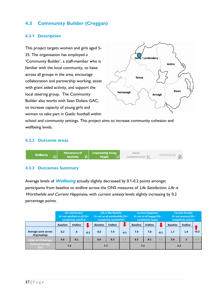# **4.3 Community Builder (Creggan)**

#### **4.3.1 Description**

This project targets women and girls aged 5- 25. The organisation has employed a 'Community Builder', a staff-member who is familiar with the local community, to liaise across all groups in the area, encourage collaboration and partnership working, assist with grant aided activity, and support the local steering group. The Community Builder also works with Sean Dolans GAC, to increase capacity of young girls and women to take part in Gaelic football within



school and community settings. This project aims to increase community cohesion and wellbeing levels.

#### **4.3.2 Outcome areas**



#### **4.3.3 Outcomes Summary**

Average levels of **Wellbeing** actually slightly decreased by 0.1-0.2 points amongst participants from baseline to endline across the ONS measures of Life Satisfaction, Life is Worthwhile and Current Happiness, with current anxiety levels slightly increasing by 0.2 percentage points.

|                                       | <b>Life Satisfaction</b><br>$0$ = not satisfied at all/10=<br>completely satisfied |                |        |                 | Life is Worthwhile<br>0= not at all worthwhile/10=<br>completely worthwhile |        |                 | <b>Current Happiness</b><br>$0 = not at all \overline{h}appy/10=completely happy$ |        | <b>Current Anxiety</b><br>$0 = not$ anxious/ $10 =$<br>completely anxious |                |        |
|---------------------------------------|------------------------------------------------------------------------------------|----------------|--------|-----------------|-----------------------------------------------------------------------------|--------|-----------------|-----------------------------------------------------------------------------------|--------|---------------------------------------------------------------------------|----------------|--------|
|                                       | <b>Baseline</b>                                                                    | <b>Endline</b> |        | <b>Baseline</b> | <b>Endline</b>                                                              |        | <b>Baseline</b> | <b>Endline</b>                                                                    |        | <b>Baseline</b>                                                           | <b>Endline</b> |        |
| Average score across<br>all groupings | 8.2                                                                                | 8              | $-0.2$ | 8.0             | 7.9                                                                         | $-0.1$ | 7.9             | 7.8                                                                               | $-0.1$ | 1.7                                                                       | 1.9            | $+0.2$ |
| NOW-14 Y3 Average                     | 6.6                                                                                | 8.1            | 1.5    | 6.6             | 8.3                                                                         | 1.7    | 6.3             | 8.1                                                                               | 1.8    | 3.9                                                                       | 3              | $-0.9$ |
| <b>National Average</b><br>2021       | 7.4                                                                                |                |        | 7.7             |                                                                             |        | 7.3             |                                                                                   |        | 3.3                                                                       |                |        |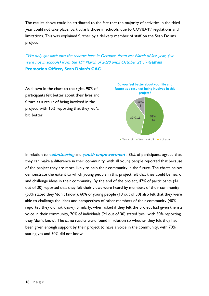The results above could be attributed to the fact that the majority of activities in the third year could not take place, particularly those in schools, due to COVID-19 regulations and limitations. This was explained further by a delivery member of staff on the Sean Dolans project:

"We only got back into the schools here in October. From last March of last year, (we were not in schools) from the 15<sup>th</sup> March of 2020 untill October 21<sup>st</sup>."- Games **Promotion Officer, Sean Dolan's GAC**

As shown in the chart to the right, 90% of participants felt better about their lives and future as a result of being involved in the project, with 10% reporting that they let 'a bit' better.



In relation to **volunteering** and **youth empowerment** , 86% of participants agreed that they can make a difference in their community, with all young people reported that because of the project they are more likely to help their community in the future. The charts below demonstrate the extent to which young people in this project felt that they could be heard and challenge ideas in their community. By the end of the project, 47% of participants (14 out of 30) reported that they felt their views were heard by members of their community (53% stated they 'don't know'). 60% of young people (18 out of 30) also felt that they were able to challenge the ideas and perspectives of other members of their community (40% reported they did not know). Similarly, when asked if they felt the project had given them a voice in their community, 70% of individuals (21 out of 30) stated 'yes', with 30% reporting they 'don't know'. The same results were found in relation to whether they felt they had been given enough support by their project to have a voice in the community, with 70% stating yes and 30% did not know.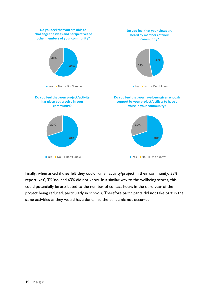

Finally, when asked if they felt they could run an activity/project in their community, 33% report 'yes', 3% 'no' and 63% did not know. In a similar way to the wellbeing scores, this could potentially be attributed to the number of contact hours in the third year of the project being reduced, particularly in schools. Therefore participants did not take part in the same activities as they would have done, had the pandemic not occurred.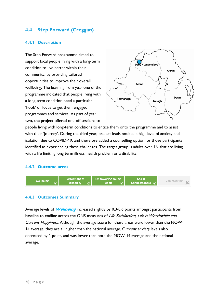# **4.4 Step Forward (Creggan)**

#### **4.4.1 Description**

The Step Forward programme aimed to support local people living with a long-term condition to live better within their community, by providing tailored opportunities to improve their overall wellbeing. The learning from year one of the programme indicated that people living with a long-term condition need a particular 'hook' or focus to get them engaged in programmes and services. As part of year two, the project offered one-off sessions to



people living with long-term conditions to entice them onto the programme and to assist with their 'journey'. During the third year, project leads noticed a high level of anxiety and isolation due to COVID-19, and therefore added a counselling option for those participants identified as experiencing these challenges. The target group is adults over 16, that are living with a life limiting long term illness, health problem or a disability.

#### **4.4.2 Outcome areas**



#### **4.4.3 Outcomes Summary**

Average levels of **Wellbeing** increased slightly by 0.3-0.6 points amongst participants from baseline to endline across the ONS measures of Life Satisfaction, Life is Worthwhile and Current Happiness. Although the average score for these areas were lower than the NOW-14 average, they are all higher than the national average. Current anxiety levels also decreased by 1 point, and was lower than both the NOW-14 average and the national average.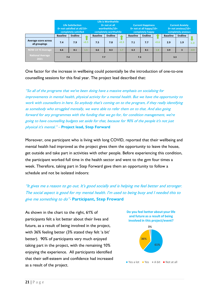|                                       |                 | <b>Life Satisfaction</b><br>$0$ = not satisfied at all/10 =<br>completely satisfied |        |                 | Life is Worthwhile<br>$0 = not at all$<br>worthwhile/ $10=$<br>completely worthwhile |        |                 | <b>Current Happiness</b><br>$0 = not$ at all happy/10=<br>completely happy |        | <b>Current Anxiety</b><br>$0 = not$ anxious/10=<br>completely anxious |                |        |
|---------------------------------------|-----------------|-------------------------------------------------------------------------------------|--------|-----------------|--------------------------------------------------------------------------------------|--------|-----------------|----------------------------------------------------------------------------|--------|-----------------------------------------------------------------------|----------------|--------|
|                                       | <b>Baseline</b> | <b>Endline</b>                                                                      |        | <b>Baseline</b> | <b>Endline</b>                                                                       |        | <b>Baseline</b> | <b>Endline</b>                                                             |        | <b>Baseline</b>                                                       | <b>Endline</b> |        |
| Average score across<br>all groupings | 7.4             | 7.9                                                                                 | $+0.5$ | 7.5             | 7.8                                                                                  | $+0.3$ | 7.1             | 7.7                                                                        | $+0.6$ | 2.9                                                                   | 1.9            | $-1.0$ |
| NOW-14 Y3 Average                     | 6.6             | 8.1                                                                                 | 1.5    | 6.6             | 8.3                                                                                  | 1.7    | 6.3             | 8.1                                                                        | 1.8    | 3.9                                                                   | 3              | $-0.9$ |
| <b>National Average</b><br>2021       | 7.4             |                                                                                     |        | 7.7             |                                                                                      |        | 7.3             |                                                                            |        | 3.3                                                                   |                |        |

One factor for the increase in wellbeing could potentially be the introduction of one-to-one counselling sessions for this final year. The project lead described that:

"So all of the programs that we've been doing have a massive emphasis on socialising for improvements in mental health, physical activity for a mental health. But we have the opportunity to work with counsellors in here. So anybody that's coming on to the program, if they really identifying as somebody who struggled mentally, we were able to refer them on to that. And also going forward for any programmes with the funding that we go for, for condition management, we're going to have counselling budgets set aside for that, because for 90% of the people it's not just physical it's mental." – **Project lead, Step Forward**

Moreover, one participant who is living with long COVID, reported that their wellbeing and mental health had improved as the project gives them the opportunity to leave the house, get outside and take part in activities with other people. Before experiencing this condition, the participant worked full time in the health sector and went to the gym four times a week. Therefore, taking part in Step Forward gave them an opportunity to follow a schedule and not be isolated indoors:

"It gives me a reason to go out. It's good socially and is helping me feel better and stronger. The social aspect is good for my mental health. I'm used to being busy and I needed this to give me something to do"- **Participant, Step Froward**

As shown in the chart to the right, 61% of participants felt a lot better about their lives and future, as a result of being involved in the project, with 36% feeling better (3% stated they felt 'a bit' better). 90% of participants very much enjoyed taking part in the project, with the remaining 10% enjoying the experience. All participants identified that their self-esteem and confidence had increased as a result of the project.

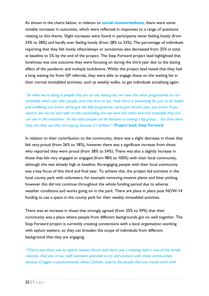As shown in the charts below, in relation to **social connectedness,** there were some notable increases in outcomes, which were reflected in responses to a range of questions relating to this theme. Slight increases were found in participants never feeling lonely (from 24% to 28%) and hardly ever feeling lonely (from 28% to 33%). The percentage of individuals reporting that they felt lonely often/always or sometimes also decreased from 35% in total at baseline to 5% by the end of the project. The Step Forward project lead highlighted that loneliness was one outcome they were focusing on during the third year due to the lasting effect of the pandemic and multiple lockdowns. Whilst the project lead noted that they had a long waiting list from GP referrals, they were able to engage those on the waiting list in their normal timetabled activities, such as weekly walks, to get individuals socialising again:

"So what we're doing is people that are on the waiting list, we have the other programmes on our timetable which can refer people onto that first to say; 'look there is something for you to do health and wellbeing you know, we've got the falls programme, we've got chronic pain, you know, if you need it, we can try and refer to the counselling, but we have this other exercise timetable that you can use in the meantime'. At the start people can be hesitant to joining a big group… but then once they join they say they are staying because it's brilliant"- **Project lead, Step Forward**

In relation to their contribution to the community, there was a slight decrease in those that felt very proud (from 26% to 18%), however there was a significant increase from those who reported they were proud (from 38% to 54%). There was also a slightly increase in those that felt very engaged or engaged (from 98% to 100%) with their local community, although this was already high at baseline. Re-engaging people with their local community was a key focus of this third and final year. To achieve this, the project led activities in the local county park with volunteers, for example removing invasive plants and litter picking, however this did not continue throughout the whole funding period due to adverse weather conditions and works going on in the park. There are plans in place post NOW-14 funding to use a space in the county park for their weekly timetabled activities.

There was an increase in those that strongly agreed (from 35% to 59%) that their community was a place where people from different backgrounds got on well together. The Step Forward project is currently creating connections with a local organisation working with asylum seekers, so they can broaden the scope of individuals from different background that they are engaging:

"Tthere was there was an asylum seekers forum and there was a meeting held in one of the hotels recently. And one of our staff members attended to try and connect with those communities because Creggan is predominantly white Catholic, they're the people that you would work with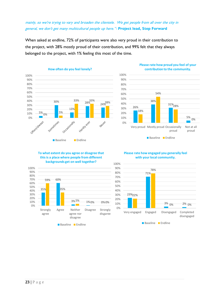### mainly, so we're trying to vary and broaden the clientele. We get people from all over the city in general, we don't get many multicultural people up here."- **Project lead, Step Forward**

When asked at endline, 72% of participants were also very proud in their contribution to the project, with 28% mostly proud of their contribution, and 99% felt that they always belonged to the project, with 1% feeling this most of the time.



#### **Please rate how proud you feel of your contribution to the community.**



#### **Please rate how engaged you generally feel with your local community.**



#### **To what extent do you agree or disagree that this is a place where people from different backgrounds get on well together?**

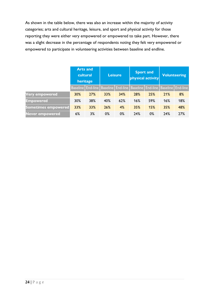As shown in the table below, there was also an increase within the majority of activity categories; arts and cultural heritage, leisure, and sport and physical activity for those reporting they were either very empowered or empowered to take part. However, there was a slight decrease in the percentage of respondents noting they felt very empowered or empowered to participate in volunteering activities between baseline and endline.

|                            |     | <b>Arts and</b><br>cultural<br>heritage |     | <b>Leisure</b>                                       |     | <b>Sport and</b><br>physical activity | <b>Volunteering</b> |     |  |
|----------------------------|-----|-----------------------------------------|-----|------------------------------------------------------|-----|---------------------------------------|---------------------|-----|--|
|                            |     |                                         |     | Baseline   End-line   Baseline   End-line   Baseline |     | End-line   Baseline   End-line        |                     |     |  |
| <b>Very empowered</b>      | 30% | 27%                                     | 33% | 34%                                                  | 28% | 25%                                   | <b>21%</b>          | 8%  |  |
| <b>Empowered</b>           | 30% | 38%                                     | 40% | 62%                                                  | 16% | 59%                                   | 16%                 | 18% |  |
| <b>Sometimes empowered</b> | 33% | 33%                                     | 26% | 4%                                                   | 35% | 15%                                   | 35%                 | 48% |  |
| Never empowered            | 6%  | 3%                                      | 0%  | 0%                                                   | 24% | 0%                                    | 24%                 | 27% |  |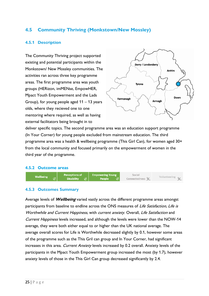# **4.5 Community Thriving (Monkstown/New Mossley)**

#### **4.5.1 Description**

The Community Thriving project supported existing and potential participants within the Monkstown/ New Mossley communities. The activities ran across three key programme areas. The first programme area was youth groups (HERizon, imMENse, EmpowHER, Mpact Youth Empowerment and the Lads Group), for young people aged 11 – 13 years olds, where they recieved one to one mentoring where required, as well as having external facilitators being brought in to



deliver specific topics. The second programme area was an education support programme (In Your Corner) for young people excluded from mainstream education. The third programme area was a health & wellbeing programme (This Girl Can), for women aged 30+ from the local community and focused primarily on the empowerment of women in the third year of the programme.

#### **4.5.2 Outcome areas**



#### **4.5.3 Outcomes Summary**

Average levels of **Wellbeing** varied vastly across the different programme areas amongst participants from baseline to endline across the ONS measures of Life Satisfaction, Life is Worthwhile and Current Happiness, with current anxiety. Overall, Life Satisfaction and Current Happiness levels increased, and although the levels were lower than the NOW-14 average, they were both either equal to or higher than the UK national average. The average overall scores for Life is Worthwhile decreased slightly by 0.1, however some areas of the programme such as the This Gril can group and In Your Corner, had significant increases in this area. Current Anxiety levels increased by 0.2 overall. Anxiety levels of the participants in the Mpact Youth Empowerment group increased the most (by 1.7), however anxiety levels of those in the This Girl Can group decreased significantly by 2.4.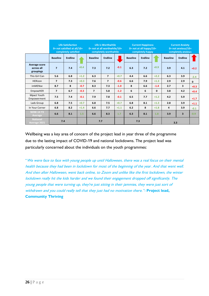|                                          | <b>Life Satisfaction</b><br>$0$ = not satisfied at all/10 =<br>completely satisfied |                |        | Life is Worthwhile<br>0= not at all worthwhile/10=<br>completely worthwhile |                |        |                 | <b>Current Happiness</b><br>$0 = not$ at all happy/10=<br>completely happy |              | <b>Current Anxiety</b><br>$0 = not$ anxious/10=<br>completely anxious |                         |        |
|------------------------------------------|-------------------------------------------------------------------------------------|----------------|--------|-----------------------------------------------------------------------------|----------------|--------|-----------------|----------------------------------------------------------------------------|--------------|-----------------------------------------------------------------------|-------------------------|--------|
|                                          | <b>Baseline</b>                                                                     | <b>Endline</b> |        | <b>Baseline</b>                                                             | <b>Endline</b> |        | <b>Baseline</b> | <b>Endline</b>                                                             |              | <b>Baseline</b>                                                       | <b>Endline</b>          |        |
| Average score<br>across all<br>groupings | $\overline{7}$                                                                      | 7.4            | $+0.4$ | 7.3                                                                         | 7.2            | $-0.1$ | 6.3             | 7.2                                                                        | $+0.9$       | 3.9                                                                   | 4.1                     | $+0.2$ |
| This Girl Can                            | 5.6                                                                                 | 6.8            | $+1.2$ | 6.3                                                                         | $\overline{7}$ | $+0.7$ | 4.4             | 6.6                                                                        | $+2.2$       | 6.3                                                                   | 3.9                     | $-2.4$ |
| <b>HERizon</b>                           | $\overline{7}$                                                                      | 7.3            | $+0.3$ | 7.6                                                                         | $\overline{7}$ | $-0.6$ | 6.6             | 7.9                                                                        | $+1.3$       | 2.9                                                                   | 2.9                     | 0      |
| imMENse                                  | 8.7                                                                                 | 8              | $-0.7$ | 8.3                                                                         | 7.3            | $-1.0$ | 8               | 6.6                                                                        | $-1.4$       | 2.7                                                                   | 3                       | $+0.3$ |
| <b>EmpowHER</b>                          | $\overline{7}$                                                                      | 6.7            | $-0.3$ | $\overline{7}$                                                              | 5.8            | $-1.2$ | 6               | 6                                                                          | $\mathbf{0}$ | 3.8                                                                   | 4.2                     | $+0.4$ |
| Mpact Youth<br>Empowerment               | 7.5                                                                                 | 7.4            | $-0.1$ | 7.9                                                                         | 7.8            | $-0.1$ | 6.5             | 7.7                                                                        | $+1.2$       | 4.2                                                                   | 5.9                     | $+1.7$ |
| Lads Group                               | 6.8                                                                                 | 7.5            | $+0.7$ | 6.8                                                                         | 7.5            | $+0.7$ | 6.8             | 8.1                                                                        | $+1.3$       | 2.8                                                                   | 3.9                     | $+1.1$ |
| In Your Corner                           | 6.8                                                                                 | 8.2            | $+1.4$ | 6.6                                                                         | 7.7            | $+1.1$ | 6.2             | 8                                                                          | $+1.8$       | 4                                                                     | 3.9                     | $-0.1$ |
| <b>NOW-14 Y3</b><br>Average              | 6.6                                                                                 | 8.1            | 1.5    | 6.6                                                                         | 8.3            | 1.7    | 6.3             | 8.1                                                                        | 1.8          | 3.9                                                                   | $\overline{\mathbf{3}}$ | $-0.9$ |
| <b>National</b><br>Average 2021          | 7.4                                                                                 |                |        | 7.7                                                                         |                |        | 7.3             |                                                                            |              | 3.3                                                                   |                         |        |

Wellbeing was a key area of concern of the project lead in year three of the programme due to the lasting impact of COVID-19 and national lockdowns. The project lead was particularly concerned about the individuals on the youth programmes:

"We were face to face with young people up until Halloween, there was a real focus on their mental health because they had been in lockdown for most of the beginning of the year. And that went well. And then after Halloween, went back online, to Zoom and unlike like the first lockdown, the winter lockdown really hit the kids harder and we found their engagement dropped off significantly. The young people that were turning up, they're just sitting in their jammies, they were just sort of withdrawn and you could really tell that they just had no motivation there."- **Project lead, Community Thriving**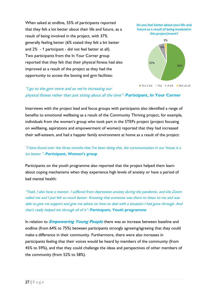When asked at endline, 55% of participants reported that they felt a lot better about their life and future, as a result of being involved in the project, with 37% generally feeling better (6% stated they felt a bit better and 2% - 1 participant - did not feel better at all). Two participants from the In Your Corner group reported that they felt that their physical fitness had also improved as a result of the project as they had the opportunity to access the boxing and gym facilities:





# "I go to the gym more and so we're increasing our physical fitness rather than just sitting about all the time"- **Participant, In Your Corner**

Interviews with the project lead and focus groups with participants also identified a range of benefits to emotional wellbeing as a result of the Community Thriving project, for example, individuals from the women's group who took part in the STEPs project (project focusing on wellbeing, aspirations and empowerment of women) reported that they had increased their self-esteem, and had a happier family environment at home as a result of the project:

# "I have found over the three months that I've been doing this, the communication in our house is a lot better."- **Participant, Women's group**

Participants on the youth programme also reported that the project helped them learn about coping mechanisms when they experience high levels of anxiety or have a period of bad mental health:

"Yeah, I also have a mentor. I suffered from depression anxiety during the pandemic, and she Zoom called me and I just felt so much better. Knowing that someone was there to listen to me and was able to give me support and give me advice on how to deal with a situation I had gone through. And that's really helped me through all of it"- **Participant, Youth programme**

In relation to **Empowering Young People** there was an increase between baseline and endline (from 64% to 75%) between participants strongly agreeing/agreeing that they could make a difference in their community. Furthermore, there were also increases in participants feeling that their voices would be heard by members of the community (from 45% to 59%), and that they could challenge the ideas and perspectives of other members of the community (from 52% to 58%).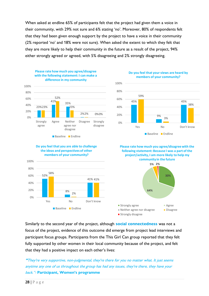When asked at endline 65% of participants felt that the project had given them a voice in their community, with 29% not sure and 6% stating 'no'. Moreover, 80% of respondents felt that they had been given enough support by the project to have a voice in their community (2% reported 'no' and 18% were not sure). When asked the extent to which they felt that they are more likely to help their community in the future as a result of the project, 94% either strongly agreed or agreed, with 5% disagreeing and 2% strongly disagreeing.



**Do you feel that your views are heard by members of your community?**



#### **Do you feel that you are able to challenge the ideas and perspectives of other members of your community?**



**Please rate how much you agree/disagree with the following statement: Because I was a part of the project/activity, I am more likely to help my community in the future**



Similarly to the second year of the project, although **social connectedness** was not a focus of the project, evidence of this outcome did emerge from project lead interviews and participant focus groups. Participants from the This Girl Can group reported that they felt fully supported by other women in their local community because of the project, and felt that they had a positive impact on each other's lives:

**"**They're very supportive, non-judgmental, they're there for you no matter what. It just seems anytime any one of us throughout the group has had any issues, they're there, they have your back."- **Participant, Women's programme**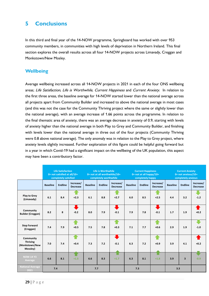# **5 Conclusions**

In this third and final year of the 14-NOW programme, Springboard has worked with over 953 community members, in communities with high levels of deprivation in Northern Ireland. This final section explores the overall results across all four 14-NOW projects across Limavady, Creggan and Monkstown/New Mosley.

# **Wellbeing**

Average wellbeing increased across all 14-NOW projects in 2021 in each of the four ONS wellbeing areas; Life Satisfaction, Life is Worthwhile, Current Happiness and Current Anxiety. In relation to the first three areas, the baseline average for 14-NOW started lower than the national average across all projects apart from Community Builder and increased to above the national average in most cases (and this was not the case for the Community Thriving project where the same or slightly lower than the national average), with an average increase of 1.66 points across the programme. In relation to the final thematic area of anxiety, there was an average decrease in anxiety of 0.9, starting with levels of anxiety higher than the national average in both Play to Grey and Community Builder, and finishing with levels lower than the national average in three out of the four projects (Community Thriving were 0.8 above national average). The only anomaly was in relation to the Play to Grey project, where anxiety levels slightly increased. Further exploration of this figure could be helpful going forward but in a year in which Covid-19 had a significant impact on the wellbeing of the UK population, this aspect may have been a contributory factor.

|                                                            | <b>Life Satisfaction</b><br>0= not satisfied at all/10=<br>completely satisfied |                |                              |                 | Life is Worthwhile<br>0= not at all worthwhile/10=<br>completely worthwhile |                              |                 | <b>Current Happiness</b><br>$0 = not at all happy/10 =$<br>completely happy |                              | <b>Current Anxiety</b><br>$0 = not$ anxious/ $10 =$<br>completely anxious |                         |                              |
|------------------------------------------------------------|---------------------------------------------------------------------------------|----------------|------------------------------|-----------------|-----------------------------------------------------------------------------|------------------------------|-----------------|-----------------------------------------------------------------------------|------------------------------|---------------------------------------------------------------------------|-------------------------|------------------------------|
|                                                            | <b>Baseline</b>                                                                 | <b>Endline</b> | Increase/<br><b>Decrease</b> | <b>Baseline</b> | <b>Endline</b>                                                              | Increase/<br><b>Decrease</b> | <b>Baseline</b> | <b>Endline</b>                                                              | Increase/<br><b>Decrease</b> | <b>Baseline</b>                                                           | <b>Endline</b>          | Increase/<br><b>Decrease</b> |
| <b>Play to Grey</b><br>(Limavady)                          | 6.1                                                                             | 8.4            | $+2.3$                       | 6.1             | 8.8                                                                         | $+2.7$                       | 6.0             | 8.5                                                                         | $+2.5$                       | 4.4                                                                       | 3.2                     | $-1.2$                       |
| Community<br><b>Builder (Creggan)</b>                      | 8.2                                                                             | 8              | u,<br>$-0.2$                 | 8.0             | 7.9                                                                         | $-0.1$                       | 7.9             | 7.8                                                                         | L<br>$-0.1$                  | 1.7                                                                       | 1.9                     | $+0.2$                       |
| <b>Step Forward</b><br>(Creggan)                           | 7.4                                                                             | 7.9            | $+0.5$                       | 7.5             | 7.8                                                                         | $+0.3$                       | 7.1             | 7.7                                                                         | $+0.6$                       | 2.9                                                                       | 1.9                     | $-1.0$                       |
| Community<br><b>Thriving</b><br>(Monkstown/New<br>Mossley) | 7.0                                                                             | 7.4            | $+0.4$                       | 7.3             | 7.2                                                                         | L<br>$-0.1$                  | 6.3             | 7.2                                                                         | $+0.9$                       | 3.9                                                                       | 4.1                     | $+0.2$                       |
| <b>NOW-14 Y3</b><br>Average                                | 6.6                                                                             | 8.1            | $+1.5$                       | 6.6             | 8.3                                                                         | $+1.7$                       | 6.3             | 8.1                                                                         | $+1.8$                       | 3.9                                                                       | $\overline{\mathbf{3}}$ | $-0.9$                       |
| <b>National Average</b><br>2021                            | 7.4                                                                             |                |                              | 7.7             |                                                                             |                              | 7.3             |                                                                             |                              | 3.3                                                                       |                         |                              |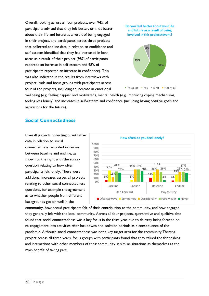Overall, looking across all four projects, over 94% of participants advised that they felt better, or a lot better about their life and future as a result of being engaged in their project, and participants across three projects that collected endline data in relation to confidence and self-esteem identified that they had increased in both areas as a result of their project (98% of participants reported an increase in self-esteem and 98% of participants reported an increase in confidence). This was also indicated in the results from interviews with project leads and focus groups with participants across four of the projects, including an increase in emotional

#### **Do you feel better about your life and future as a result of being involved in this project/event?**



wellbeing (e.g. feeling happier and motivated), mental health (e.g. improving coping mechanisms, feeling less lonely) and increases in self-esteem and confidence (including having positive goals and aspirations for the future).

# **Social Connectedness**

Overall projects collecting quantitative data in relation to social connectedness recorded increases between baseline and endline, as shown to the right with the survey question relating to how often participants felt lonely. There were additional increases across all projects relating to other social connectedness questions, for example the agreement as to whether people from different backgrounds got on well in the



community, how proud participants felt of their contribution to the community, and how engaged they generally felt with the local community. Across all four projects, quantitative and qualitive data found that social connectedness was a key focus in the third year due to delivery being focused on re-engagement into activities after lockdowns and isolation periods as a consequence of the pandemic. Although social connectedness was not a key target area for the community Thriving project across all three years, focus groups with participants found that they valued the friendships and interactions with other members of their community in similar situations as themselves as the main benefit of taking part.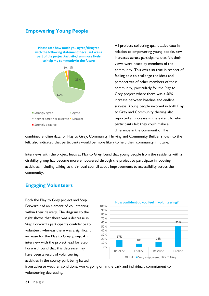# **Empowering Young People**

29% 67% 3% 1% **Please rate how much you agree/disagree with the following statement: Because I was a part of the project/activity, I am more likely to help my community in the future Strongly agree Agree** ■ Neither agree nor disagree ■ Disagree **Strongly disagree** 

All projects collecting quantitative data in relation to empowering young people, saw increases across participants that felt their views were heard by members of the community. This was also true in respect of feeling able to challenge the ideas and perspectives of other members of their community, particularly for the Play to Grey project where there was a 56% increase between baseline and endline surveys. Young people involved in both Play to Grey and Community thriving also reported an increase in the extent to which participants felt they could make a difference in the community. The

combined endline data for Play to Grey, Community Thriving and Community Builder shown to the left, also indicated that participants would be more likely to help their community in future.

Interviews with the project leads at Play to Grey found that young people from the residents with a disability group had become more empowered through the project to participate in lobbying activities, including talking to their local council about improvements to accessibility across the community.

# **Engaging Volunteers**

Both the Play to Grey project and Step Forward had an element of volunteering within their delivery. The diagram to the right shows that there was a decrease in Step Forward's participants confidence to volunteer, whereas there was a significant increase for the Play to Grey group. An interview with the project lead for Step Forward found that this decrease may have been a result of volunteering activities in the county park being halted



from adverse weather conditions, works going on in the park and individuals commitment to volunteering decreasing.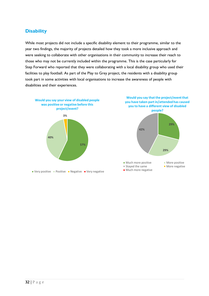## **Disability**

While most projects did not include a specific disability element to their programme, similar to the year two findings, the majority of projects detailed how they took a more inclusive approach and were seeking to collaborate with other organisations in their community to increase their reach to those who may not be currently included within the programme. This is the case particularly for Step Forward who reported that they were collaborating with a local disability group who used their facilities to play football. As part of the Play to Grey project, the residents with a disability group took part in some activities with local organisations to increase the awareness of people with disabilities and their experiences.